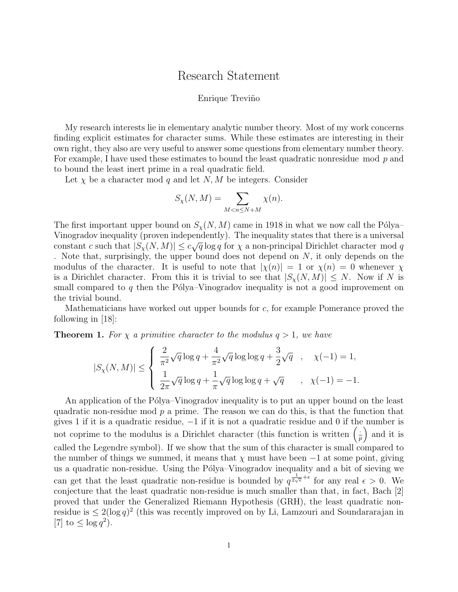## Research Statement

## Enrique Treviño

My research interests lie in elementary analytic number theory. Most of my work concerns finding explicit estimates for character sums. While these estimates are interesting in their own right, they also are very useful to answer some questions from elementary number theory. For example, I have used these estimates to bound the least quadratic nonresidue mod p and to bound the least inert prime in a real quadratic field.

Let  $\chi$  be a character mod q and let  $N$ , M be integers. Consider

$$
S_{\chi}(N,M) = \sum_{M < n \le N+M} \chi(n).
$$

The first important upper bound on  $S_{\chi}(N, M)$  came in 1918 in what we now call the Pólya– Vinogradov inequality (proven independently). The inequality states that there is a universal constant c such that  $|S_{\chi}(N,M)| \leq c\sqrt{q} \log q$  for  $\chi$  a non-principal Dirichlet character mod q . Note that, surprisingly, the upper bound does not depend on  $N$ , it only depends on the modulus of the character. It is useful to note that  $|\chi(n)| = 1$  or  $\chi(n) = 0$  whenever  $\chi$ is a Dirichlet character. From this it is trivial to see that  $|S_{\chi}(N,M)| \leq N$ . Now if N is small compared to q then the Pólya–Vinogradov inequality is not a good improvement on the trivial bound.

Mathematicians have worked out upper bounds for  $c$ , for example Pomerance proved the following in  $|18|$ :

**Theorem 1.** For  $\chi$  a primitive character to the modulus  $q > 1$ , we have

$$
|S_{\chi}(N,M)| \leq \left\{ \begin{array}{ll} \frac{2}{\pi^2} \sqrt{q} \log q + \frac{4}{\pi^2} \sqrt{q} \log \log q + \frac{3}{2} \sqrt{q} & , & \chi(-1) = 1, \\ \\ \frac{1}{2\pi} \sqrt{q} \log q + \frac{1}{\pi} \sqrt{q} \log \log q + \sqrt{q} & , & \chi(-1) = -1. \end{array} \right.
$$

An application of the Pólya–Vinogradov inequality is to put an upper bound on the least quadratic non-residue mod  $p$  a prime. The reason we can do this, is that the function that gives 1 if it is a quadratic residue, −1 if it is not a quadratic residue and 0 if the number is not coprime to the modulus is a Dirichlet character (this function is written  $\left(\frac{1}{r}\right)$  $\frac{1}{p}$  and it is called the Legendre symbol). If we show that the sum of this character is small compared to the number of things we summed, it means that  $\chi$  must have been  $-1$  at some point, giving us a quadratic non-residue. Using the Pólya–Vinogradov inequality and a bit of sieving we can get that the least quadratic non-residue is bounded by  $q^{\frac{1}{2\sqrt{e}}+\epsilon}$  for any real  $\epsilon > 0$ . We conjecture that the least quadratic non-residue is much smaller than that, in fact, Bach [2] proved that under the Generalized Riemann Hypothesis (GRH), the least quadratic nonresidue is  $\leq 2(\log q)^2$  (this was recently improved on by Li, Lamzouri and Soundararajan in [7] to  $\leq \log q^2$ ).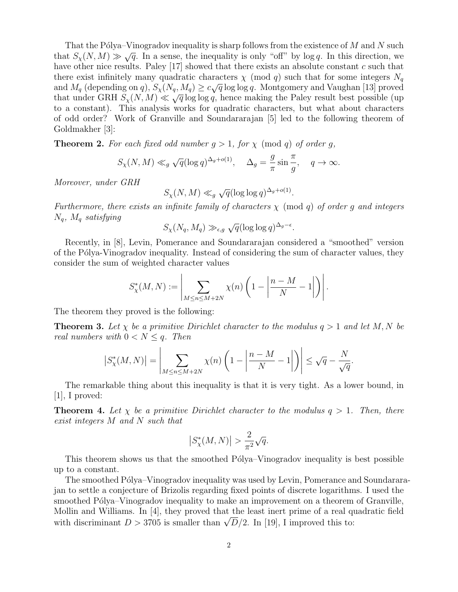That the Pólya–Vinogradov inequality is sharp follows from the existence of  $M$  and  $N$  such that the 1 orga-vinogradov inequality is sharp follows from the existence of M and N such that  $S_{\chi}(N,M) \gg \sqrt{q}$ . In a sense, the inequality is only "off" by log q. In this direction, we have other nice results. Paley  $[17]$  showed that there exists an absolute constant c such that there exist infinitely many quadratic characters  $\chi \pmod{q}$  such that for some integers  $N_q$ and  $M_q$  (depending on q),  $S_\chi(N_q, M_q) \geq c\sqrt{q} \log \log q$ . Montgomery and Vaughan [13] proved that under GRH  $S_{\chi}(N, M) \ll \sqrt{q} \log \log q$ , hence making the Paley result best possible (up to a constant). This analysis works for quadratic characters, but what about characters of odd order? Work of Granville and Soundararajan [5] led to the following theorem of Goldmakher [3]:

**Theorem 2.** For each fixed odd number  $g > 1$ , for  $\chi$  (mod q) of order g,

$$
S_{\chi}(N,M) \ll_g \sqrt{q}(\log q)^{\Delta_g + o(1)}, \quad \Delta_g = \frac{g}{\pi} \sin \frac{\pi}{g}, \quad q \to \infty.
$$

Moreover, under GRH

 $S_{\chi}(N, M) \ll_g$ √  $\overline{q}(\log \log q)^{\Delta_g+o(1)}.$ 

Furthermore, there exists an infinite family of characters  $\chi$  (mod q) of order g and integers  $N_q$ ,  $M_q$  satisfying

$$
S_{\chi}(N_q, M_q) \gg_{\epsilon, g} \sqrt{q} (\log \log q)^{\Delta_g - \epsilon}.
$$

Recently, in [8], Levin, Pomerance and Soundararajan considered a "smoothed" version of the Pólya-Vinogradov inequality. Instead of considering the sum of character values, they consider the sum of weighted character values

$$
S_{\chi}^*(M,N) := \left| \sum_{M \le n \le M+2N} \chi(n) \left( 1 - \left| \frac{n-M}{N} - 1 \right| \right) \right|.
$$

The theorem they proved is the following:

**Theorem 3.** Let  $\chi$  be a primitive Dirichlet character to the modulus  $q > 1$  and let M, N be real numbers with  $0 < N \leq q$ . Then

$$
\left|S^*_{\chi}(M,N)\right| = \left|\sum_{M \le n \le M+2N} \chi(n)\left(1 - \left|\frac{n-M}{N} - 1\right|\right)\right| \le \sqrt{q} - \frac{N}{\sqrt{q}}.
$$

The remarkable thing about this inequality is that it is very tight. As a lower bound, in  $|1|, I$  proved:

**Theorem 4.** Let  $\chi$  be a primitive Dirichlet character to the modulus  $q > 1$ . Then, there exist integers M and N such that

$$
\left| S_{\chi}^*(M,N) \right| > \frac{2}{\pi^2} \sqrt{q}.
$$

This theorem shows us that the smoothed Pólya–Vinogradov inequality is best possible up to a constant.

The smoothed Pólya–Vinogradov inequality was used by Levin, Pomerance and Soundararajan to settle a conjecture of Brizolis regarding fixed points of discrete logarithms. I used the smoothed Pólya–Vinogradov inequality to make an improvement on a theorem of Granville, Mollin and Williams. In [4], they proved that the least inert prime of a real quadratic field with discriminant  $D > 3705$  is smaller than  $\sqrt{D}/2$ . In [19], I improved this to: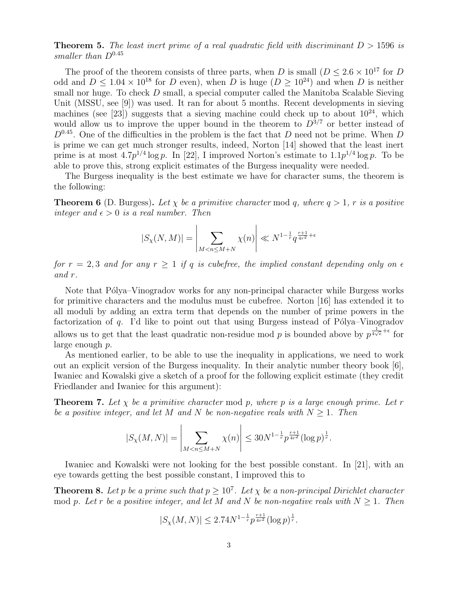## **Theorem 5.** The least inert prime of a real quadratic field with discriminant  $D > 1596$  is smaller than  $D^{0.45}$

The proof of the theorem consists of three parts, when D is small  $(D \leq 2.6 \times 10^{17}$  for D odd and  $D \leq 1.04 \times 10^{18}$  for D even), when D is huge  $(D \geq 10^{24})$  and when D is neither small nor huge. To check D small, a special computer called the Manitoba Scalable Sieving Unit (MSSU, see [9]) was used. It ran for about 5 months. Recent developments in sieving machines (see [23]) suggests that a sieving machine could check up to about  $10^{24}$ , which would allow us to improve the upper bound in the theorem to  $D^{3/7}$  or better instead of  $D^{0.45}$ . One of the difficulties in the problem is the fact that D need not be prime. When D is prime we can get much stronger results, indeed, Norton [14] showed that the least inert prime is at most  $4.7p^{1/4}\log p$ . In [22], I improved Norton's estimate to  $1.1p^{1/4}\log p$ . To be able to prove this, strong explicit estimates of the Burgess inequality were needed.

The Burgess inequality is the best estimate we have for character sums, the theorem is the following:

**Theorem 6** (D. Burgess). Let  $\chi$  be a primitive character mod q, where  $q > 1$ , r is a positive integer and  $\epsilon > 0$  is a real number. Then

$$
|S_{\chi}(N,M)| = \left| \sum_{M < n \le M+N} \chi(n) \right| \ll N^{1-\frac{1}{r}} q^{\frac{r+1}{4r^2} + \epsilon}
$$

for  $r = 2, 3$  and for any  $r \ge 1$  if q is cubefree, the implied constant depending only on  $\epsilon$ and r.

Note that Pólya–Vinogradov works for any non-principal character while Burgess works for primitive characters and the modulus must be cubefree. Norton [16] has extended it to all moduli by adding an extra term that depends on the number of prime powers in the factorization of q. I'd like to point out that using Burgess instead of Pólya–Vinogradov allows us to get that the least quadratic non-residue mod p is bounded above by  $p^{\frac{1}{4\sqrt{\epsilon}}+\epsilon}$  for large enough p.

As mentioned earlier, to be able to use the inequality in applications, we need to work out an explicit version of the Burgess inequality. In their analytic number theory book [6], Iwaniec and Kowalski give a sketch of a proof for the following explicit estimate (they credit Friedlander and Iwaniec for this argument):

**Theorem 7.** Let  $\chi$  be a primitive character mod p, where p is a large enough prime. Let r be a positive integer, and let M and N be non-negative reals with  $N \geq 1$ . Then

$$
|S_{\chi}(M,N)| = \left| \sum_{M < n \le M+N} \chi(n) \right| \le 30N^{1-\frac{1}{r}} p^{\frac{r+1}{4r^2}} (\log p)^{\frac{1}{r}}.
$$

Iwaniec and Kowalski were not looking for the best possible constant. In [21], with an eye towards getting the best possible constant, I improved this to

**Theorem 8.** Let p be a prime such that  $p \geq 10^7$ . Let  $\chi$  be a non-principal Dirichlet character mod p. Let r be a positive integer, and let M and N be non-negative reals with  $N \geq 1$ . Then

$$
|S_{\chi}(M,N)| \leq 2.74N^{1-\frac{1}{r}}p^{\frac{r+1}{4r^2}}(\log p)^{\frac{1}{r}}.
$$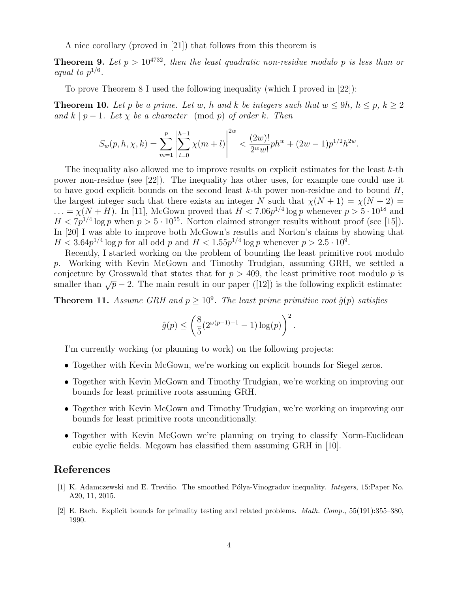A nice corollary (proved in [21]) that follows from this theorem is

**Theorem 9.** Let  $p > 10^{4732}$ , then the least quadratic non-residue modulo p is less than or equal to  $p^{1/6}$ .

To prove Theorem 8 I used the following inequality (which I proved in [22]):

**Theorem 10.** Let p be a prime. Let w, h and k be integers such that  $w \le 9h$ ,  $h \le p$ ,  $k \ge 2$ and k | p − 1. Let  $\chi$  be a character (mod p) of order k. Then

$$
S_w(p, h, \chi, k) = \sum_{m=1}^p \left| \sum_{l=0}^{h-1} \chi(m+l) \right|^{2w} < \frac{(2w)!}{2^w w!} ph^w + (2w-1)p^{1/2} h^{2w}.
$$

The inequality also allowed me to improve results on explicit estimates for the least k-th power non-residue (see [22]). The inequality has other uses, for example one could use it to have good explicit bounds on the second least  $k$ -th power non-residue and to bound  $H$ , the largest integer such that there exists an integer N such that  $\chi(N + 1) = \chi(N + 2)$  $\ldots = \chi(N+H)$ . In [11], McGown proved that  $H < 7.06p^{1/4} \log p$  whenever  $p > 5 \cdot 10^{18}$  and  $H < 7p^{1/4} \log p$  when  $p > 5 \cdot 10^{55}$ . Norton claimed stronger results without proof (see [15]). In [20] I was able to improve both McGown's results and Norton's claims by showing that  $H < 3.64p^{1/4}\log p$  for all odd p and  $H < 1.55p^{1/4}\log p$  whenever  $p > 2.5 \cdot 10^9$ .

Recently, I started working on the problem of bounding the least primitive root modulo p. Working with Kevin McGown and Timothy Trudgian, assuming GRH, we settled a conjecture by Grosswald that states that for  $p > 409$ , the least primitive root modulo p is smaller than  $\sqrt{p} - 2$ . The main result in our paper ([12]) is the following explicit estimate:

**Theorem 11.** Assume GRH and  $p \geq 10^9$ . The least prime primitive root  $\hat{g}(p)$  satisfies

$$
\hat{g}(p) \le \left(\frac{8}{5}(2^{\omega(p-1)-1} - 1)\log(p)\right)^2.
$$

I'm currently working (or planning to work) on the following projects:

- Together with Kevin McGown, we're working on explicit bounds for Siegel zeros.
- Together with Kevin McGown and Timothy Trudgian, we're working on improving our bounds for least primitive roots assuming GRH.
- Together with Kevin McGown and Timothy Trudgian, we're working on improving our bounds for least primitive roots unconditionally.
- Together with Kevin McGown we're planning on trying to classify Norm-Euclidean cubic cyclic fields. Mcgown has classified them assuming GRH in [10].

## References

- [1] K. Adamczewski and E. Treviño. The smoothed Pólya-Vinogradov inequality. *Integers*, 15:Paper No. A20, 11, 2015.
- [2] E. Bach. Explicit bounds for primality testing and related problems. Math. Comp., 55(191):355–380, 1990.